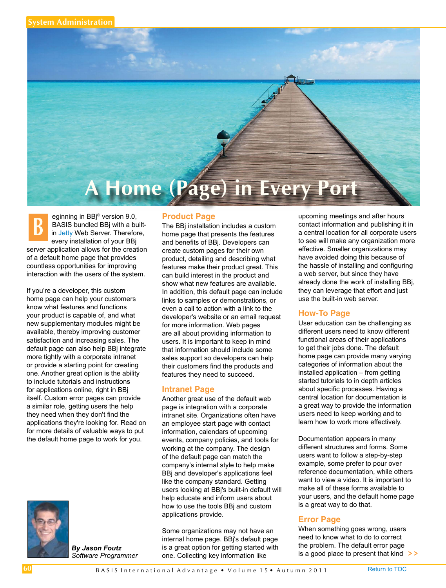

**B** eginning in BBj® version 9.0,<br>BASIS bundled BBj with a built-<br>i[n Jetty W](http://en.wikipedia.org/wiki/Jetty_(Web_server))eb Server. Therefore, BASIS bundled BBj with a builtevery installation of your BBj server application allows for the creation of a default home page that provides countless opportunities for improving interaction with the users of the system.

If you're a developer, this custom home page can help your customers know what features and functions your product is capable of, and what new supplementary modules might be available, thereby improving customer satisfaction and increasing sales. The default page can also help BBj integrate more tightly with a corporate intranet or provide a starting point for creating one. Another great option is the ability to include tutorials and instructions for applications online, right in BBj itself. Custom error pages can provide a similar role, getting users the help they need when they don't find the applications they're looking for. Read on for more details of valuable ways to put the default home page to work for you.



*By Jason Foutz Software Programmer*

#### **Product Page**

The BBj installation includes a custom home page that presents the features and benefits of BBj. Developers can create custom pages for their own product, detailing and describing what features make their product great. This can build interest in the product and show what new features are available. In addition, this default page can include links to samples or demonstrations, or even a call to action with a link to the developer's website or an email request for more information. Web pages are all about providing information to users. It is important to keep in mind that information should include some sales support so developers can help their customers find the products and features they need to succeed.

## **Intranet Page**

Another great use of the default web page is integration with a corporate intranet site. Organizations often have an employee start page with contact information, calendars of upcoming events, company policies, and tools for working at the company. The design of the default page can match the company's internal style to help make BBj and developer's applications feel like the company standard. Getting users looking at BBj's built-in default will help educate and inform users about how to use the tools BBj and custom applications provide.

Some organizations may not have an internal home page. BBj's default page is a great option for getting started with one. Collecting key information like

upcoming meetings and after hours contact information and publishing it in a central location for all corporate users to see will make any organization more effective. Smaller organizations may have avoided doing this because of the hassle of installing and configuring a web server, but since they have already done the work of installing BBj, they can leverage that effort and just use the built-in web server.

# **How-To Page**

User education can be challenging as different users need to know different functional areas of their applications to get their jobs done. The default home page can provide many varying categories of information about the installed application – from getting started tutorials to in depth articles about specific processes. Having a central location for documentation is a great way to provide the information users need to keep working and to learn how to work more effectively.

Documentation appears in many different structures and forms. Some users want to follow a step-by-step example, some prefer to pour over reference documentation, while others want to view a video. It is important to make all of these forms available to your users, and the default home page is a great way to do that.

## **Error Page**

**> >** is a good place to present that kind When something goes wrong, users need to know what to do to correct the problem. The default error page